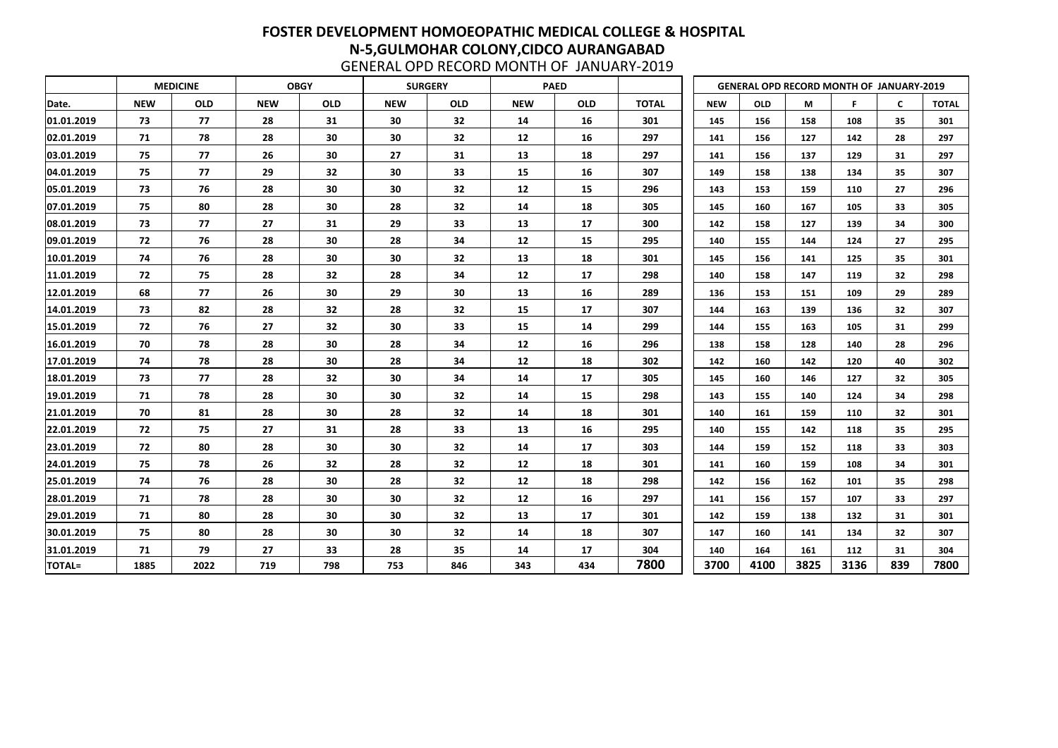|               |            | <b>MEDICINE</b> |            | <b>OBGY</b> |            | <b>SURGERY</b> |            | <b>PAED</b> |              |            |            | <b>GENERAL OPD RECORD MONTH OF JANUARY-2019</b> |      |     |              |
|---------------|------------|-----------------|------------|-------------|------------|----------------|------------|-------------|--------------|------------|------------|-------------------------------------------------|------|-----|--------------|
| Date.         | <b>NEW</b> | <b>OLD</b>      | <b>NEW</b> | <b>OLD</b>  | <b>NEW</b> | <b>OLD</b>     | <b>NEW</b> | <b>OLD</b>  | <b>TOTAL</b> | <b>NEW</b> | <b>OLD</b> | M                                               | F    | C   | <b>TOTAL</b> |
| 01.01.2019    | 73         | 77              | 28         | 31          | 30         | 32             | 14         | 16          | 301          | 145        | 156        | 158                                             | 108  | 35  | 301          |
| 02.01.2019    | 71         | 78              | 28         | 30          | 30         | 32             | 12         | 16          | 297          | 141        | 156        | 127                                             | 142  | 28  | 297          |
| 03.01.2019    | 75         | 77              | 26         | 30          | 27         | 31             | 13         | 18          | 297          | 141        | 156        | 137                                             | 129  | 31  | 297          |
| 04.01.2019    | 75         | 77              | 29         | 32          | 30         | 33             | 15         | 16          | 307          | 149        | 158        | 138                                             | 134  | 35  | 307          |
| 05.01.2019    | 73         | 76              | 28         | 30          | 30         | 32             | 12         | 15          | 296          | 143        | 153        | 159                                             | 110  | 27  | 296          |
| 07.01.2019    | 75         | 80              | 28         | 30          | 28         | 32             | 14         | 18          | 305          | 145        | 160        | 167                                             | 105  | 33  | 305          |
| 08.01.2019    | 73         | 77              | 27         | 31          | 29         | 33             | 13         | 17          | 300          | 142        | 158        | 127                                             | 139  | 34  | 300          |
| 09.01.2019    | 72         | 76              | 28         | 30          | 28         | 34             | 12         | 15          | 295          | 140        | 155        | 144                                             | 124  | 27  | 295          |
| 10.01.2019    | 74         | 76              | 28         | 30          | 30         | 32             | 13         | 18          | 301          | 145        | 156        | 141                                             | 125  | 35  | 301          |
| 11.01.2019    | 72         | 75              | 28         | 32          | 28         | 34             | 12         | 17          | 298          | 140        | 158        | 147                                             | 119  | 32  | 298          |
| 12.01.2019    | 68         | 77              | 26         | 30          | 29         | 30             | 13         | 16          | 289          | 136        | 153        | 151                                             | 109  | 29  | 289          |
| 14.01.2019    | 73         | 82              | 28         | 32          | 28         | 32             | 15         | 17          | 307          | 144        | 163        | 139                                             | 136  | 32  | 307          |
| 15.01.2019    | 72         | 76              | 27         | 32          | 30         | 33             | 15         | 14          | 299          | 144        | 155        | 163                                             | 105  | 31  | 299          |
| 16.01.2019    | 70         | 78              | 28         | 30          | 28         | 34             | 12         | 16          | 296          | 138        | 158        | 128                                             | 140  | 28  | 296          |
| 17.01.2019    | 74         | 78              | 28         | 30          | 28         | 34             | 12         | 18          | 302          | 142        | 160        | 142                                             | 120  | 40  | 302          |
| 18.01.2019    | 73         | 77              | 28         | 32          | 30         | 34             | 14         | 17          | 305          | 145        | 160        | 146                                             | 127  | 32  | 305          |
| 19.01.2019    | 71         | 78              | 28         | 30          | 30         | 32             | 14         | 15          | 298          | 143        | 155        | 140                                             | 124  | 34  | 298          |
| 21.01.2019    | 70         | 81              | 28         | 30          | 28         | 32             | 14         | 18          | 301          | 140        | 161        | 159                                             | 110  | 32  | 301          |
| 22.01.2019    | 72         | 75              | 27         | 31          | 28         | 33             | 13         | 16          | 295          | 140        | 155        | 142                                             | 118  | 35  | 295          |
| 23.01.2019    | 72         | 80              | 28         | 30          | 30         | 32             | 14         | 17          | 303          | 144        | 159        | 152                                             | 118  | 33  | 303          |
| 24.01.2019    | 75         | 78              | 26         | 32          | 28         | 32             | 12         | 18          | 301          | 141        | 160        | 159                                             | 108  | 34  | 301          |
| 25.01.2019    | 74         | 76              | 28         | 30          | 28         | 32             | 12         | 18          | 298          | 142        | 156        | 162                                             | 101  | 35  | 298          |
| 28.01.2019    | 71         | 78              | 28         | 30          | 30         | 32             | 12         | 16          | 297          | 141        | 156        | 157                                             | 107  | 33  | 297          |
| 29.01.2019    | 71         | 80              | 28         | 30          | 30         | 32             | 13         | 17          | 301          | 142        | 159        | 138                                             | 132  | 31  | 301          |
| 30.01.2019    | 75         | 80              | 28         | 30          | 30         | 32             | 14         | 18          | 307          | 147        | 160        | 141                                             | 134  | 32  | 307          |
| 31.01.2019    | 71         | 79              | 27         | 33          | 28         | 35             | 14         | 17          | 304          | 140        | 164        | 161                                             | 112  | 31  | 304          |
| <b>TOTAL=</b> | 1885       | 2022            | 719        | 798         | 753        | 846            | 343        | 434         | 7800         | 3700       | 4100       | 3825                                            | 3136 | 839 | 7800         |

| <b>GENERAL OPD RECORD MONTH OF JANUARY-2019</b> |  |
|-------------------------------------------------|--|
|-------------------------------------------------|--|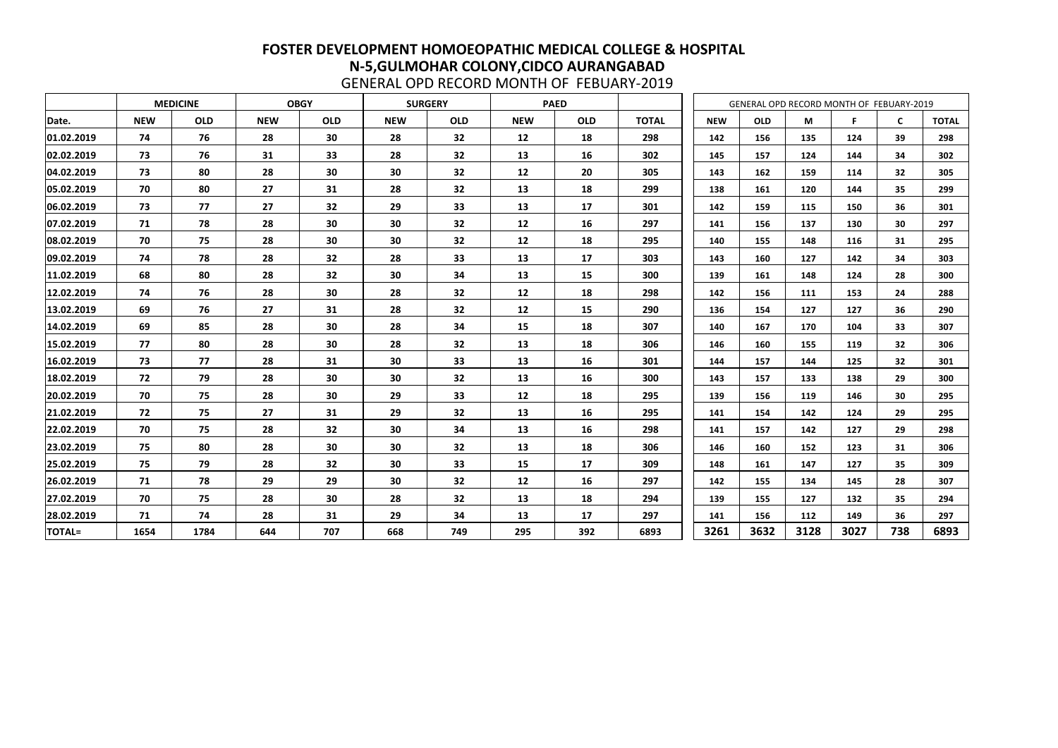|               |            | <b>MEDICINE</b> |            | <b>OBGY</b> |            | <b>SURGERY</b> |            | <b>PAED</b> |              |            |            |     |      | GENERAL OPD RECORD MONTH OF FEBUARY-2019 |                 |              |
|---------------|------------|-----------------|------------|-------------|------------|----------------|------------|-------------|--------------|------------|------------|-----|------|------------------------------------------|-----------------|--------------|
| Date.         | <b>NEW</b> | <b>OLD</b>      | <b>NEW</b> | <b>OLD</b>  | <b>NEW</b> | <b>OLD</b>     | <b>NEW</b> | <b>OLD</b>  | <b>TOTAL</b> | <b>NEW</b> | <b>OLD</b> |     | M    | F                                        | $\mathsf{C}$    | <b>TOTAL</b> |
| 01.02.2019    | 74         | 76              | 28         | 30          | 28         | 32             | 12         | 18          | 298          | 142        |            | 156 | 135  | 124                                      | 39              | 298          |
| 02.02.2019    | 73         | 76              | 31         | 33          | 28         | 32             | 13         | 16          | 302          | 145        | 157        |     | 124  | 144                                      | 34              | 302          |
| 04.02.2019    | 73         | 80              | 28         | 30          | 30         | 32             | 12         | 20          | 305          | 143        | 162        |     | 159  | 114                                      | 32              | 305          |
| 05.02.2019    | 70         | 80              | 27         | 31          | 28         | 32             | 13         | 18          | 299          | 138        | 161        |     | 120  | 144                                      | 35              | 299          |
| 06.02.2019    | 73         | 77              | 27         | 32          | 29         | 33             | 13         | 17          | 301          | 142        | 159        |     | 115  | 150                                      | 36              | 301          |
| 07.02.2019    | 71         | 78              | 28         | 30          | 30         | 32             | 12         | 16          | 297          | 141        | 156        |     | 137  | 130                                      | 30              | 297          |
| 08.02.2019    | 70         | 75              | 28         | 30          | 30         | 32             | 12         | 18          | 295          | 140        | 155        |     | 148  | 116                                      | 31              | 295          |
| 09.02.2019    | 74         | 78              | 28         | 32          | 28         | 33             | 13         | 17          | 303          | 143        | 160        |     | 127  | 142                                      | 34              | 303          |
| 11.02.2019    | 68         | 80              | 28         | 32          | 30         | 34             | 13         | 15          | 300          | 139        | 161        |     | 148  | 124                                      | 28              | 300          |
| 12.02.2019    | 74         | 76              | 28         | 30          | 28         | 32             | 12         | 18          | 298          | 142        |            | 156 | 111  | 153                                      | 24              | 288          |
| 13.02.2019    | 69         | 76              | 27         | 31          | 28         | 32             | 12         | 15          | 290          | 136        | 154        |     | 127  | 127                                      | 36              | 290          |
| 14.02.2019    | 69         | 85              | 28         | 30          | 28         | 34             | 15         | 18          | 307          | 140        | 167        |     | 170  | 104                                      | 33              | 307          |
| 15.02.2019    | 77         | 80              | 28         | 30          | 28         | 32             | 13         | 18          | 306          | 146        | 160        |     | 155  | 119                                      | 32              | 306          |
| 16.02.2019    | 73         | 77              | 28         | 31          | 30         | 33             | 13         | 16          | 301          | 144        | 157        |     | 144  | 125                                      | 32 <sub>2</sub> | 301          |
| 18.02.2019    | 72         | 79              | 28         | 30          | 30         | 32             | 13         | 16          | 300          | 143        | 157        |     | 133  | 138                                      | 29              | 300          |
| 20.02.2019    | 70         | 75              | 28         | 30          | 29         | 33             | 12         | 18          | 295          | 139        | 156        |     | 119  | 146                                      | 30              | 295          |
| 21.02.2019    | 72         | 75              | 27         | 31          | 29         | 32             | 13         | 16          | 295          | 141        | 154        |     | 142  | 124                                      | 29              | 295          |
| 22.02.2019    | 70         | 75              | 28         | 32          | 30         | 34             | 13         | 16          | 298          | 141        | 157        |     | 142  | 127                                      | 29              | 298          |
| 23.02.2019    | 75         | 80              | 28         | 30          | 30         | 32             | 13         | 18          | 306          | 146        | 160        |     | 152  | 123                                      | 31              | 306          |
| 25.02.2019    | 75         | 79              | 28         | 32          | 30         | 33             | 15         | 17          | 309          | 148        | 161        |     | 147  | 127                                      | 35              | 309          |
| 26.02.2019    | 71         | 78              | 29         | 29          | 30         | 32             | 12         | 16          | 297          | 142        | 155        |     | 134  | 145                                      | 28              | 307          |
| 27.02.2019    | 70         | 75              | 28         | 30          | 28         | 32             | 13         | 18          | 294          | 139        | 155        |     | 127  | 132                                      | 35              | 294          |
| 28.02.2019    | 71         | 74              | 28         | 31          | 29         | 34             | 13         | 17          | 297          | 141        | 156        |     | 112  | 149                                      | 36              | 297          |
| <b>TOTAL=</b> | 1654       | 1784            | 644        | 707         | 668        | 749            | 295        | 392         | 6893         | 3261       | 3632       |     | 3128 | 3027                                     | 738             | 6893         |

GENERAL OPD RECORD MONTH OF FEBUARY-2019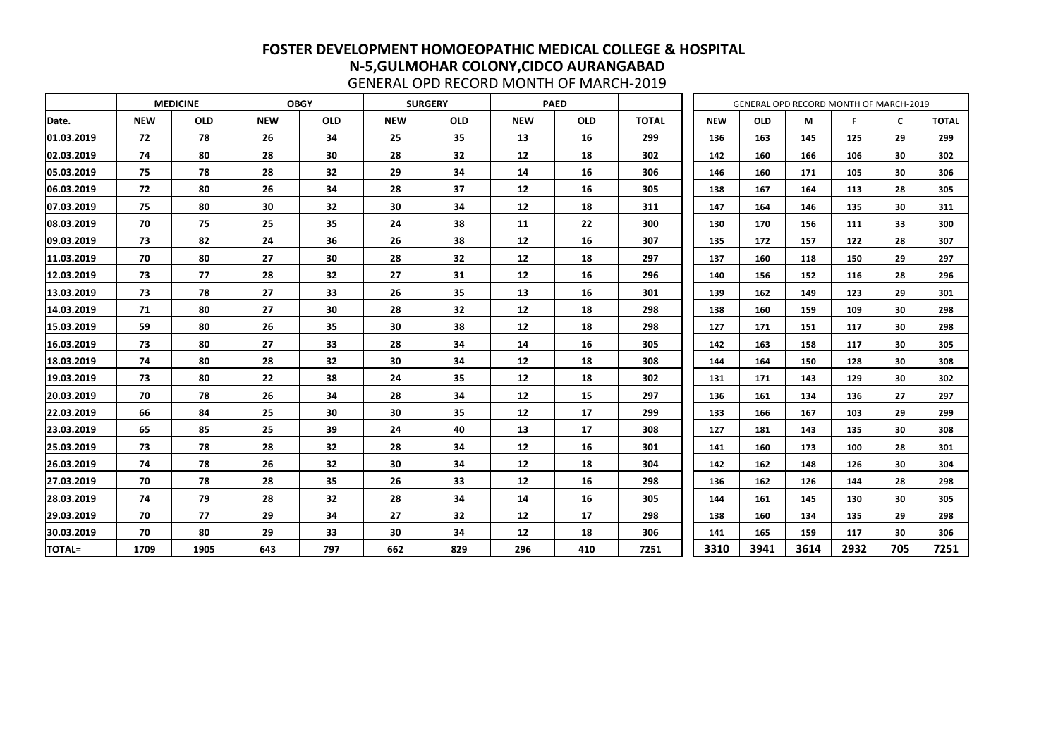|               |            | <b>MEDICINE</b> |            | <b>OBGY</b> |            | <b>SURGERY</b> |            | <b>PAED</b> |              |            |            |      | GENERAL OPD RECORD MONTH OF MARCH-2019 |              |              |
|---------------|------------|-----------------|------------|-------------|------------|----------------|------------|-------------|--------------|------------|------------|------|----------------------------------------|--------------|--------------|
| Date.         | <b>NEW</b> | <b>OLD</b>      | <b>NEW</b> | <b>OLD</b>  | <b>NEW</b> | <b>OLD</b>     | <b>NEW</b> | <b>OLD</b>  | <b>TOTAL</b> | <b>NEW</b> | <b>OLD</b> | М    | F                                      | $\mathsf{C}$ | <b>TOTAL</b> |
| 01.03.2019    | 72         | 78              | 26         | 34          | 25         | 35             | 13         | 16          | 299          | 136        | 163        | 145  | 125                                    | 29           | 299          |
| 02.03.2019    | 74         | 80              | 28         | 30          | 28         | 32             | 12         | 18          | 302          | 142        | 160        | 166  | 106                                    | 30           | 302          |
| 05.03.2019    | 75         | 78              | 28         | 32          | 29         | 34             | 14         | 16          | 306          | 146        | 160        | 171  | 105                                    | 30           | 306          |
| 06.03.2019    | 72         | 80              | 26         | 34          | 28         | 37             | 12         | 16          | 305          | 138        | 167        | 164  | 113                                    | 28           | 305          |
| 07.03.2019    | 75         | 80              | 30         | 32          | 30         | 34             | 12         | 18          | 311          | 147        | 164        | 146  | 135                                    | 30           | 311          |
| 08.03.2019    | 70         | 75              | 25         | 35          | 24         | 38             | 11         | 22          | 300          | 130        | 170        | 156  | 111                                    | 33           | 300          |
| 09.03.2019    | 73         | 82              | 24         | 36          | 26         | 38             | 12         | 16          | 307          | 135        | 172        | 157  | 122                                    | 28           | 307          |
| 11.03.2019    | 70         | 80              | 27         | 30          | 28         | 32             | 12         | 18          | 297          | 137        | 160        | 118  | 150                                    | 29           | 297          |
| 12.03.2019    | 73         | 77              | 28         | 32          | 27         | 31             | 12         | 16          | 296          | 140        | 156        | 152  | 116                                    | 28           | 296          |
| 13.03.2019    | 73         | 78              | 27         | 33          | 26         | 35             | 13         | 16          | 301          | 139        | 162        | 149  | 123                                    | 29           | 301          |
| 14.03.2019    | 71         | 80              | 27         | 30          | 28         | 32             | 12         | 18          | 298          | 138        | 160        | 159  | 109                                    | 30           | 298          |
| 15.03.2019    | 59         | 80              | 26         | 35          | 30         | 38             | 12         | 18          | 298          | 127        | 171        | 151  | 117                                    | 30           | 298          |
| 16.03.2019    | 73         | 80              | 27         | 33          | 28         | 34             | 14         | 16          | 305          | 142        | 163        | 158  | 117                                    | 30           | 305          |
| 18.03.2019    | 74         | 80              | 28         | 32          | 30         | 34             | 12         | 18          | 308          | 144        | 164        | 150  | 128                                    | 30           | 308          |
| 19.03.2019    | 73         | 80              | 22         | 38          | 24         | 35             | 12         | 18          | 302          | 131        | 171        | 143  | 129                                    | 30           | 302          |
| 20.03.2019    | 70         | 78              | 26         | 34          | 28         | 34             | 12         | 15          | 297          | 136        | 161        | 134  | 136                                    | 27           | 297          |
| 22.03.2019    | 66         | 84              | 25         | 30          | 30         | 35             | 12         | 17          | 299          | 133        | 166        | 167  | 103                                    | 29           | 299          |
| 23.03.2019    | 65         | 85              | 25         | 39          | 24         | 40             | 13         | 17          | 308          | 127        | 181        | 143  | 135                                    | 30           | 308          |
| 25.03.2019    | 73         | 78              | 28         | 32          | 28         | 34             | 12         | 16          | 301          | 141        | 160        | 173  | 100                                    | 28           | 301          |
| 26.03.2019    | 74         | 78              | 26         | 32          | 30         | 34             | 12         | 18          | 304          | 142        | 162        | 148  | 126                                    | 30           | 304          |
| 27.03.2019    | 70         | 78              | 28         | 35          | 26         | 33             | 12         | 16          | 298          | 136        | 162        | 126  | 144                                    | 28           | 298          |
| 28.03.2019    | 74         | 79              | 28         | 32          | 28         | 34             | 14         | <b>16</b>   | 305          | 144        | 161        | 145  | 130                                    | 30           | 305          |
| 29.03.2019    | 70         | 77              | 29         | 34          | 27         | 32             | 12         | 17          | 298          | 138        | 160        | 134  | 135                                    | 29           | 298          |
| 30.03.2019    | 70         | 80              | 29         | 33          | 30         | 34             | 12         | 18          | 306          | 141        | 165        | 159  | 117                                    | 30           | 306          |
| <b>TOTAL=</b> | 1709       | 1905            | 643        | 797         | 662        | 829            | 296        | 410         | 7251         | 3310       | 3941       | 3614 | 2932                                   | 705          | 7251         |

GENERAL OPD RECORD MONTH OF MARCH-2019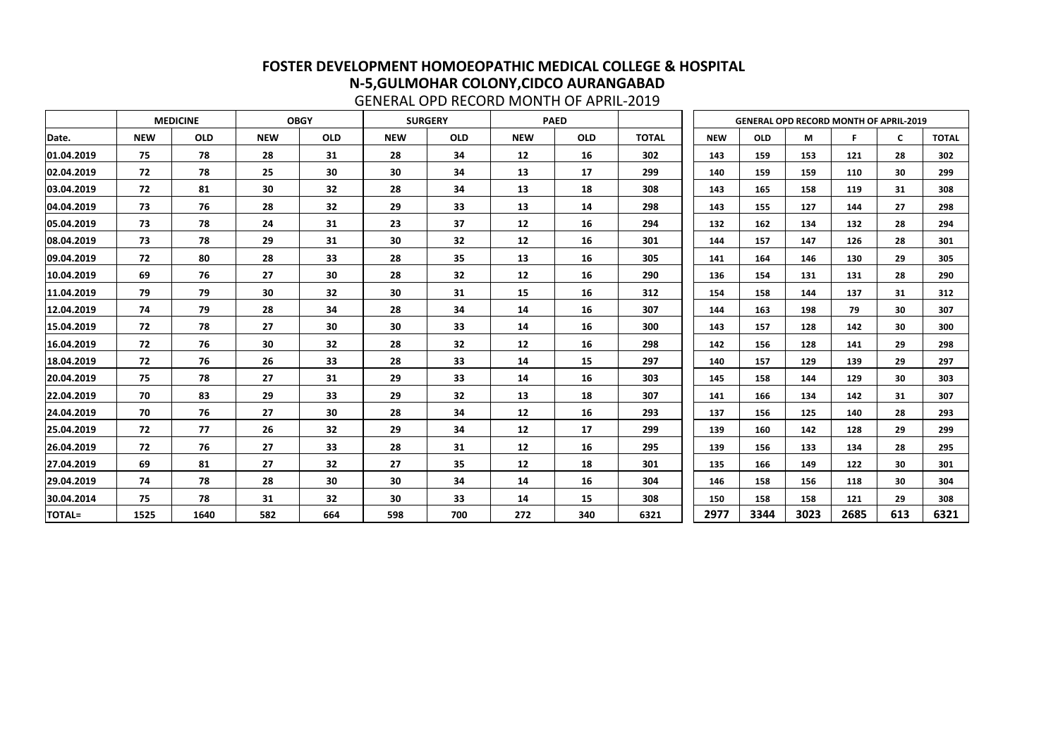|               |            | <b>MEDICINE</b> |            | <b>OBGY</b> |            | <b>SURGERY</b> |            | <b>PAED</b> |              |            | <b>GENERAL OPD RECORD MONTH OF APRIL-2019</b> |      |      |              |              |
|---------------|------------|-----------------|------------|-------------|------------|----------------|------------|-------------|--------------|------------|-----------------------------------------------|------|------|--------------|--------------|
| Date.         | <b>NEW</b> | <b>OLD</b>      | <b>NEW</b> | <b>OLD</b>  | <b>NEW</b> | <b>OLD</b>     | <b>NEW</b> | <b>OLD</b>  | <b>TOTAL</b> | <b>NEW</b> | <b>OLD</b>                                    | M    | F    | $\mathsf{C}$ | <b>TOTAL</b> |
| 01.04.2019    | 75         | 78              | 28         | 31          | 28         | 34             | 12         | 16          | 302          | 143        | 159                                           | 153  | 121  | 28           | 302          |
| 02.04.2019    | 72         | 78              | 25         | 30          | 30         | 34             | 13         | 17          | 299          | 140        | 159                                           | 159  | 110  | 30           | 299          |
| 03.04.2019    | 72         | 81              | 30         | 32          | 28         | 34             | 13         | 18          | 308          | 143        | 165                                           | 158  | 119  | 31           | 308          |
| 04.04.2019    | 73         | 76              | 28         | 32          | 29         | 33             | 13         | 14          | 298          | 143        | 155                                           | 127  | 144  | 27           | 298          |
| 05.04.2019    | 73         | 78              | 24         | 31          | 23         | 37             | 12         | 16          | 294          | 132        | 162                                           | 134  | 132  | 28           | 294          |
| 08.04.2019    | 73         | 78              | 29         | 31          | 30         | 32             | 12         | 16          | 301          | 144        | 157                                           | 147  | 126  | 28           | 301          |
| 09.04.2019    | 72         | 80              | 28         | 33          | 28         | 35             | 13         | 16          | 305          | 141        | 164                                           | 146  | 130  | 29           | 305          |
| 10.04.2019    | 69         | 76              | 27         | 30          | 28         | 32             | 12         | 16          | 290          | 136        | 154                                           | 131  | 131  | 28           | 290          |
| 11.04.2019    | 79         | 79              | 30         | 32          | 30         | 31             | 15         | 16          | 312          | 154        | 158                                           | 144  | 137  | 31           | 312          |
| 12.04.2019    | 74         | 79              | 28         | 34          | 28         | 34             | 14         | 16          | 307          | 144        | 163                                           | 198  | 79   | 30           | 307          |
| 15.04.2019    | 72         | 78              | 27         | 30          | 30         | 33             | 14         | 16          | 300          | 143        | 157                                           | 128  | 142  | 30           | 300          |
| 16.04.2019    | 72         | 76              | 30         | 32          | 28         | 32             | 12         | 16          | 298          | 142        | 156                                           | 128  | 141  | 29           | 298          |
| 18.04.2019    | 72         | 76              | 26         | 33          | 28         | 33             | 14         | 15          | 297          | 140        | 157                                           | 129  | 139  | 29           | 297          |
| 20.04.2019    | 75         | 78              | 27         | 31          | 29         | 33             | 14         | 16          | 303          | 145        | 158                                           | 144  | 129  | 30           | 303          |
| 22.04.2019    | 70         | 83              | 29         | 33          | 29         | 32             | 13         | 18          | 307          | 141        | 166                                           | 134  | 142  | 31           | 307          |
| 24.04.2019    | 70         | 76              | 27         | 30          | 28         | 34             | 12         | 16          | 293          | 137        | 156                                           | 125  | 140  | 28           | 293          |
| 25.04.2019    | 72         | 77              | 26         | 32          | 29         | 34             | 12         | <b>17</b>   | 299          | 139        | 160                                           | 142  | 128  | 29           | 299          |
| 26.04.2019    | 72         | 76              | 27         | 33          | 28         | 31             | 12         | 16          | 295          | 139        | 156                                           | 133  | 134  | 28           | 295          |
| 27.04.2019    | 69         | 81              | 27         | 32          | 27         | 35             | 12         | 18          | 301          | 135        | 166                                           | 149  | 122  | 30           | 301          |
| 29.04.2019    | 74         | 78              | 28         | 30          | 30         | 34             | 14         | 16          | 304          | 146        | 158                                           | 156  | 118  | 30           | 304          |
| 30.04.2014    | 75         | 78              | 31         | 32          | 30         | 33             | 14         | 15          | 308          | 150        | 158                                           | 158  | 121  | 29           | 308          |
| <b>TOTAL=</b> | 1525       | 1640            | 582        | 664         | 598        | 700            | 272        | 340         | 6321         | 2977       | 3344                                          | 3023 | 2685 | 613          | 6321         |

GENERAL OPD RECORD MONTH OF APRIL-2019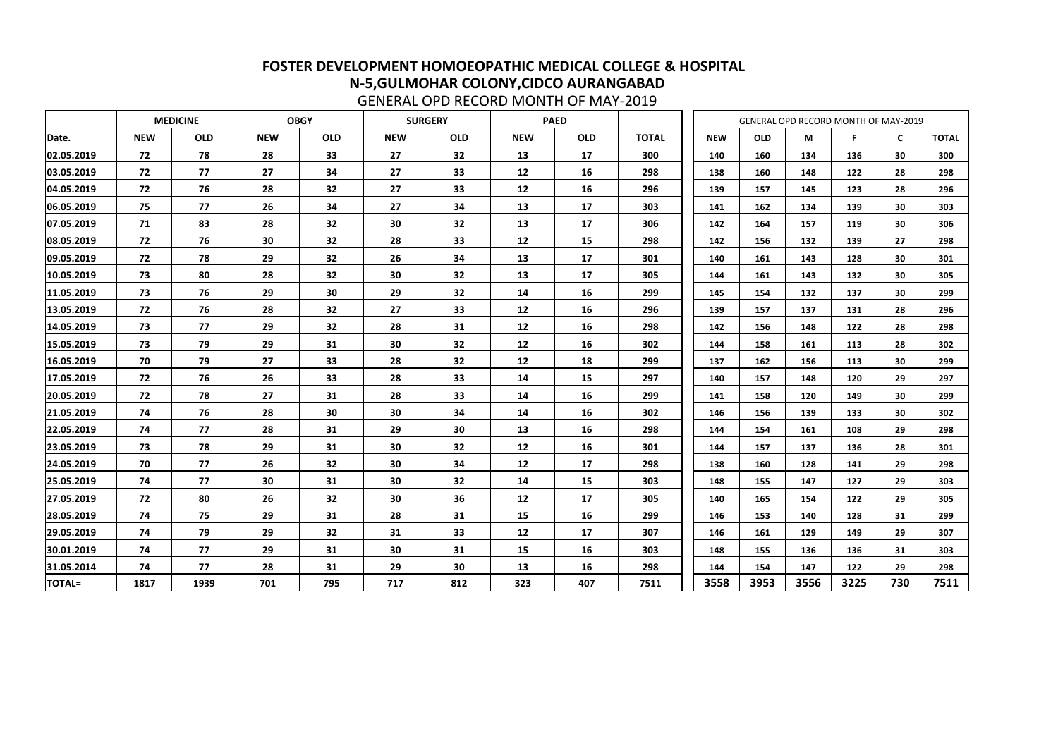|               |            | <b>MEDICINE</b> |            | <b>OBGY</b> |            | <b>SURGERY</b>  |            | <b>PAED</b> |              |            | <b>GENERAL OPD RECORD MONTH OF MAY-2019</b> |      |      |              |              |
|---------------|------------|-----------------|------------|-------------|------------|-----------------|------------|-------------|--------------|------------|---------------------------------------------|------|------|--------------|--------------|
| Date.         | <b>NEW</b> | <b>OLD</b>      | <b>NEW</b> | <b>OLD</b>  | <b>NEW</b> | <b>OLD</b>      | <b>NEW</b> | <b>OLD</b>  | <b>TOTAL</b> | <b>NEW</b> | <b>OLD</b>                                  | М    | F    | $\mathsf{C}$ | <b>TOTAL</b> |
| 02.05.2019    | 72         | 78              | 28         | 33          | 27         | 32              | 13         | 17          | 300          | 140        | 160                                         | 134  | 136  | 30           | 300          |
| 03.05.2019    | 72         | 77              | 27         | 34          | 27         | 33              | 12         | 16          | 298          | 138        | 160                                         | 148  | 122  | 28           | 298          |
| 04.05.2019    | 72         | 76              | 28         | 32          | 27         | 33              | 12         | 16          | 296          | 139        | 157                                         | 145  | 123  | 28           | 296          |
| 06.05.2019    | 75         | 77              | 26         | 34          | 27         | 34              | 13         | 17          | 303          | 141        | 162                                         | 134  | 139  | 30           | 303          |
| 07.05.2019    | 71         | 83              | 28         | 32          | 30         | 32              | 13         | 17          | 306          | 142        | 164                                         | 157  | 119  | 30           | 306          |
| 08.05.2019    | 72         | 76              | 30         | 32          | 28         | 33              | 12         | 15          | 298          | 142        | 156                                         | 132  | 139  | 27           | 298          |
| 09.05.2019    | 72         | 78              | 29         | 32          | 26         | 34              | 13         | 17          | 301          | 140        | 161                                         | 143  | 128  | 30           | 301          |
| 10.05.2019    | 73         | 80              | 28         | 32          | 30         | 32              | 13         | 17          | 305          | 144        | 161                                         | 143  | 132  | 30           | 305          |
| 11.05.2019    | 73         | 76              | 29         | 30          | 29         | 32              | 14         | 16          | 299          | 145        | 154                                         | 132  | 137  | 30           | 299          |
| 13.05.2019    | 72         | 76              | 28         | 32          | 27         | 33              | 12         | 16          | 296          | 139        | 157                                         | 137  | 131  | 28           | 296          |
| 14.05.2019    | 73         | 77              | 29         | 32          | 28         | 31              | 12         | 16          | 298          | 142        | 156                                         | 148  | 122  | 28           | 298          |
| 15.05.2019    | 73         | 79              | 29         | 31          | 30         | 32              | 12         | 16          | 302          | 144        | 158                                         | 161  | 113  | 28           | 302          |
| 16.05.2019    | 70         | 79              | 27         | 33          | 28         | 32              | 12         | 18          | 299          | 137        | 162                                         | 156  | 113  | 30           | 299          |
| 17.05.2019    | 72         | 76              | 26         | 33          | 28         | 33              | 14         | <b>15</b>   | 297          | 140        | 157                                         | 148  | 120  | 29           | 297          |
| 20.05.2019    | 72         | 78              | 27         | 31          | 28         | 33              | 14         | 16          | 299          | 141        | 158                                         | 120  | 149  | 30           | 299          |
| 21.05.2019    | 74         | 76              | 28         | 30          | 30         | 34              | 14         | 16          | 302          | 146        | 156                                         | 139  | 133  | 30           | 302          |
| 22.05.2019    | 74         | 77              | 28         | 31          | 29         | 30              | 13         | 16          | 298          | 144        | 154                                         | 161  | 108  | 29           | 298          |
| 23.05.2019    | 73         | 78              | 29         | 31          | 30         | 32              | 12         | 16          | 301          | 144        | 157                                         | 137  | 136  | 28           | 301          |
| 24.05.2019    | 70         | 77              | 26         | 32          | 30         | 34              | 12         | 17          | 298          | 138        | 160                                         | 128  | 141  | 29           | 298          |
| 25.05.2019    | 74         | 77              | 30         | 31          | 30         | 32              | 14         | 15          | 303          | 148        | 155                                         | 147  | 127  | 29           | 303          |
| 27.05.2019    | 72         | 80              | 26         | 32          | 30         | 36              | 12         | 17          | 305          | 140        | 165                                         | 154  | 122  | 29           | 305          |
| 28.05.2019    | 74         | 75              | 29         | 31          | 28         | 31              | 15         | 16          | 299          | 146        | 153                                         | 140  | 128  | 31           | 299          |
| 29.05.2019    | 74         | 79              | 29         | 32          | 31         | 33              | 12         | 17          | 307          | 146        | 161                                         | 129  | 149  | 29           | 307          |
| 30.01.2019    | 74         | 77              | 29         | 31          | 30         | 31              | 15         | 16          | 303          | 148        | 155                                         | 136  | 136  | 31           | 303          |
| 31.05.2014    | 74         | 77              | 28         | 31          | 29         | 30 <sub>o</sub> | 13         | 16          | 298          | 144        | 154                                         | 147  | 122  | 29           | 298          |
| <b>TOTAL=</b> | 1817       | 1939            | 701        | 795         | 717        | 812             | 323        | 407         | 7511         | 3558       | 3953                                        | 3556 | 3225 | 730          | 7511         |

GENERAL OPD RECORD MONTH OF MAY-2019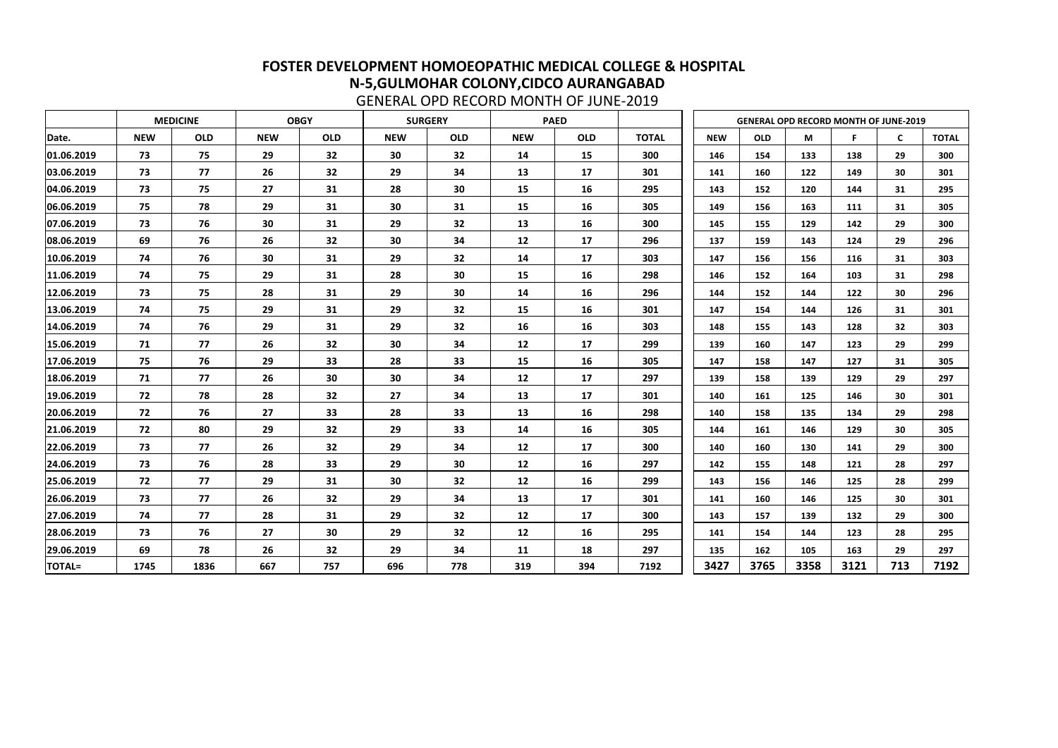|               |            | <b>MEDICINE</b> |            | <b>OBGY</b> |            | <b>SURGERY</b> |            | <b>PAED</b> |              |            |            | <b>GENERAL OPD RECORD MONTH OF JUNE-2019</b> |      |     |              |
|---------------|------------|-----------------|------------|-------------|------------|----------------|------------|-------------|--------------|------------|------------|----------------------------------------------|------|-----|--------------|
| Date.         | <b>NEW</b> | <b>OLD</b>      | <b>NEW</b> | <b>OLD</b>  | <b>NEW</b> | <b>OLD</b>     | <b>NEW</b> | <b>OLD</b>  | <b>TOTAL</b> | <b>NEW</b> | <b>OLD</b> | М                                            | F    | C   | <b>TOTAL</b> |
| 01.06.2019    | 73         | 75              | 29         | 32          | 30         | 32             | 14         | <b>15</b>   | 300          | 146        | 154        | 133                                          | 138  | 29  | 300          |
| 03.06.2019    | 73         | 77              | 26         | 32          | 29         | 34             | 13         | 17          | 301          | 141        | 160        | 122                                          | 149  | 30  | 301          |
| 04.06.2019    | 73         | 75              | 27         | 31          | 28         | 30             | 15         | 16          | 295          | 143        | 152        | 120                                          | 144  | 31  | 295          |
| 06.06.2019    | 75         | 78              | 29         | 31          | 30         | 31             | 15         | 16          | 305          | 149        | 156        | 163                                          | 111  | 31  | 305          |
| 07.06.2019    | 73         | 76              | 30         | 31          | 29         | 32             | 13         | 16          | 300          | 145        | 155        | 129                                          | 142  | 29  | 300          |
| 08.06.2019    | 69         | 76              | 26         | 32          | 30         | 34             | 12         | 17          | 296          | 137        | 159        | 143                                          | 124  | 29  | 296          |
| 10.06.2019    | 74         | 76              | 30         | 31          | 29         | 32             | 14         | 17          | 303          | 147        | 156        | 156                                          | 116  | 31  | 303          |
| 11.06.2019    | 74         | 75              | 29         | 31          | 28         | 30             | 15         | 16          | 298          | 146        | 152        | 164                                          | 103  | 31  | 298          |
| 12.06.2019    | 73         | 75              | 28         | 31          | 29         | 30             | 14         | 16          | 296          | 144        | 152        | 144                                          | 122  | 30  | 296          |
| 13.06.2019    | 74         | 75              | 29         | 31          | 29         | 32             | 15         | 16          | 301          | 147        | 154        | 144                                          | 126  | 31  | 301          |
| 14.06.2019    | 74         | 76              | 29         | 31          | 29         | 32             | 16         | 16          | 303          | 148        | 155        | 143                                          | 128  | 32  | 303          |
| 15.06.2019    | 71         | 77              | 26         | 32          | 30         | 34             | 12         | 17          | 299          | 139        | 160        | 147                                          | 123  | 29  | 299          |
| 17.06.2019    | 75         | 76              | 29         | 33          | 28         | 33             | 15         | 16          | 305          | 147        | 158        | 147                                          | 127  | 31  | 305          |
| 18.06.2019    | 71         | 77              | 26         | 30          | 30         | 34             | 12         | 17          | 297          | 139        | 158        | 139                                          | 129  | 29  | 297          |
| 19.06.2019    | 72         | 78              | 28         | 32          | 27         | 34             | 13         | 17          | 301          | 140        | 161        | 125                                          | 146  | 30  | 301          |
| 20.06.2019    | 72         | 76              | 27         | 33          | 28         | 33             | 13         | 16          | 298          | 140        | 158        | 135                                          | 134  | 29  | 298          |
| 21.06.2019    | 72         | 80              | 29         | 32          | 29         | 33             | 14         | 16          | 305          | 144        | 161        | 146                                          | 129  | 30  | 305          |
| 22.06.2019    | 73         | 77              | 26         | 32          | 29         | 34             | 12         | 17          | 300          | 140        | 160        | 130                                          | 141  | 29  | 300          |
| 24.06.2019    | 73         | 76              | 28         | 33          | 29         | 30             | 12         | 16          | 297          | 142        | 155        | 148                                          | 121  | 28  | 297          |
| 25.06.2019    | 72         | 77              | 29         | 31          | 30         | 32             | 12         | 16          | 299          | 143        | 156        | 146                                          | 125  | 28  | 299          |
| 26.06.2019    | 73         | 77              | 26         | 32          | 29         | 34             | 13         | 17          | 301          | 141        | 160        | 146                                          | 125  | 30  | 301          |
| 27.06.2019    | 74         | 77              | 28         | 31          | 29         | 32             | 12         | 17          | 300          | 143        | 157        | 139                                          | 132  | 29  | 300          |
| 28.06.2019    | 73         | 76              | 27         | 30          | 29         | 32             | 12         | 16          | 295          | 141        | 154        | 144                                          | 123  | 28  | 295          |
| 29.06.2019    | 69         | 78              | 26         | 32          | 29         | 34             | 11         | 18          | 297          | 135        | 162        | 105                                          | 163  | 29  | 297          |
| <b>TOTAL=</b> | 1745       | 1836            | 667        | 757         | 696        | 778            | 319        | 394         | 7192         | 3427       | 3765       | 3358                                         | 3121 | 713 | 7192         |

GENERAL OPD RECORD MONTH OF JUNE-2019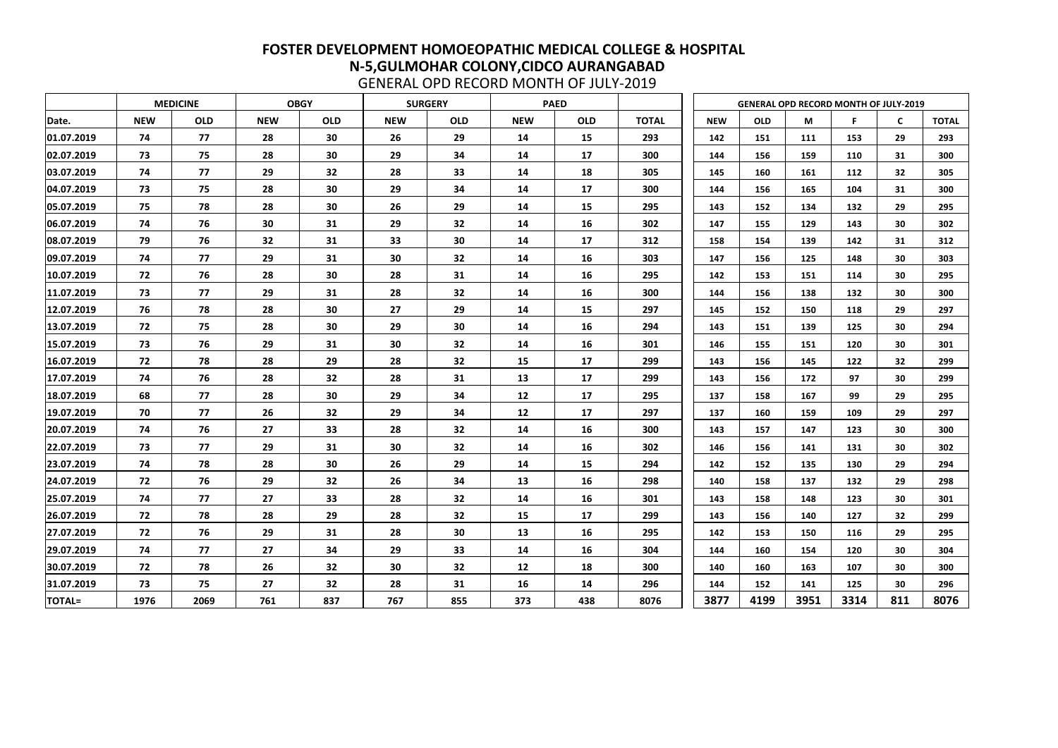|               |            | <b>MEDICINE</b> |            | <b>OBGY</b> |            | <b>SURGERY</b> |            | <b>PAED</b> |              |            | <b>GENERAL OPD RECORD MONTH OF JULY-2019</b> |      |      |     |              |
|---------------|------------|-----------------|------------|-------------|------------|----------------|------------|-------------|--------------|------------|----------------------------------------------|------|------|-----|--------------|
| Date.         | <b>NEW</b> | <b>OLD</b>      | <b>NEW</b> | <b>OLD</b>  | <b>NEW</b> | <b>OLD</b>     | <b>NEW</b> | <b>OLD</b>  | <b>TOTAL</b> | <b>NEW</b> | <b>OLD</b>                                   | M    | F    | C   | <b>TOTAL</b> |
| 01.07.2019    | 74         | 77              | 28         | 30          | 26         | 29             | 14         | 15          | 293          | 142        | 151                                          | 111  | 153  | 29  | 293          |
| 02.07.2019    | 73         | 75              | 28         | 30          | 29         | 34             | 14         | 17          | 300          | 144        | 156                                          | 159  | 110  | 31  | 300          |
| 03.07.2019    | 74         | 77              | 29         | 32          | 28         | 33             | 14         | 18          | 305          | 145        | 160                                          | 161  | 112  | 32  | 305          |
| 04.07.2019    | 73         | 75              | 28         | 30          | 29         | 34             | 14         | 17          | 300          | 144        | 156                                          | 165  | 104  | 31  | 300          |
| 05.07.2019    | 75         | 78              | 28         | 30          | 26         | 29             | 14         | 15          | 295          | 143        | 152                                          | 134  | 132  | 29  | 295          |
| 06.07.2019    | 74         | 76              | 30         | 31          | 29         | 32             | 14         | 16          | 302          | 147        | 155                                          | 129  | 143  | 30  | 302          |
| 08.07.2019    | 79         | 76              | 32         | 31          | 33         | 30             | 14         | 17          | 312          | 158        | 154                                          | 139  | 142  | 31  | 312          |
| 09.07.2019    | 74         | 77              | 29         | 31          | 30         | 32             | 14         | 16          | 303          | 147        | 156                                          | 125  | 148  | 30  | 303          |
| 10.07.2019    | 72         | 76              | 28         | 30          | 28         | 31             | 14         | 16          | 295          | 142        | 153                                          | 151  | 114  | 30  | 295          |
| 11.07.2019    | 73         | 77              | 29         | 31          | 28         | 32             | 14         | 16          | 300          | 144        | 156                                          | 138  | 132  | 30  | 300          |
| 12.07.2019    | 76         | 78              | 28         | 30          | 27         | 29             | 14         | 15          | 297          | 145        | 152                                          | 150  | 118  | 29  | 297          |
| 13.07.2019    | 72         | 75              | 28         | 30          | 29         | 30             | 14         | 16          | 294          | 143        | 151                                          | 139  | 125  | 30  | 294          |
| 15.07.2019    | 73         | 76              | 29         | 31          | 30         | 32             | 14         | 16          | 301          | 146        | 155                                          | 151  | 120  | 30  | 301          |
| 16.07.2019    | 72         | 78              | 28         | 29          | 28         | 32             | 15         | 17          | 299          | 143        | 156                                          | 145  | 122  | 32  | 299          |
| 17.07.2019    | 74         | 76              | 28         | 32          | 28         | 31             | 13         | 17          | 299          | 143        | 156                                          | 172  | 97   | 30  | 299          |
| 18.07.2019    | 68         | 77              | 28         | 30          | 29         | 34             | 12         | 17          | 295          | 137        | 158                                          | 167  | 99   | 29  | 295          |
| 19.07.2019    | 70         | 77              | 26         | 32          | 29         | 34             | 12         | 17          | 297          | 137        | 160                                          | 159  | 109  | 29  | 297          |
| 20.07.2019    | 74         | 76              | 27         | 33          | 28         | 32             | 14         | 16          | 300          | 143        | 157                                          | 147  | 123  | 30  | 300          |
| 22.07.2019    | 73         | 77              | 29         | 31          | 30         | 32             | 14         | 16          | 302          | 146        | 156                                          | 141  | 131  | 30  | 302          |
| 23.07.2019    | 74         | 78              | 28         | 30          | 26         | 29             | 14         | 15          | 294          | 142        | 152                                          | 135  | 130  | 29  | 294          |
| 24.07.2019    | 72         | 76              | 29         | 32          | 26         | 34             | 13         | 16          | 298          | 140        | 158                                          | 137  | 132  | 29  | 298          |
| 25.07.2019    | 74         | 77              | 27         | 33          | 28         | 32             | 14         | 16          | 301          | 143        | 158                                          | 148  | 123  | 30  | 301          |
| 26.07.2019    | 72         | 78              | 28         | 29          | 28         | 32             | 15         | 17          | 299          | 143        | 156                                          | 140  | 127  | 32  | 299          |
| 27.07.2019    | 72         | 76              | 29         | 31          | 28         | 30             | 13         | 16          | 295          | 142        | 153                                          | 150  | 116  | 29  | 295          |
| 29.07.2019    | 74         | 77              | 27         | 34          | 29         | 33             | 14         | 16          | 304          | 144        | 160                                          | 154  | 120  | 30  | 304          |
| 30.07.2019    | 72         | 78              | 26         | 32          | 30         | 32             | 12         | 18          | 300          | 140        | 160                                          | 163  | 107  | 30  | 300          |
| 31.07.2019    | 73         | 75              | 27         | 32          | 28         | 31             | 16         | 14          | 296          | 144        | 152                                          | 141  | 125  | 30  | 296          |
| <b>TOTAL=</b> | 1976       | 2069            | 761        | 837         | 767        | 855            | 373        | 438         | 8076         | 3877       | 4199                                         | 3951 | 3314 | 811 | 8076         |

GENERAL OPD RECORD MONTH OF JULY-2019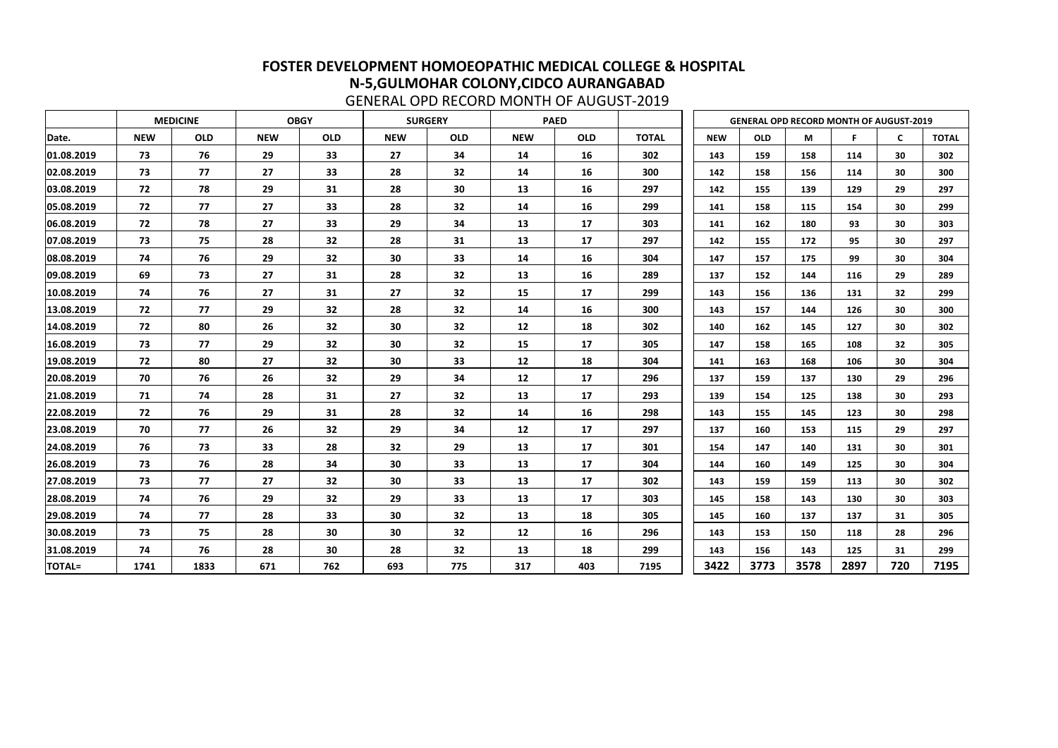|               |            | <b>MEDICINE</b> |            | <b>OBGY</b> |            | <b>SURGERY</b> |            | <b>PAED</b> |              |            |            | <b>GENERAL OPD RECORD MONTH OF AUGUST-2019</b> |      |                 |              |
|---------------|------------|-----------------|------------|-------------|------------|----------------|------------|-------------|--------------|------------|------------|------------------------------------------------|------|-----------------|--------------|
| Date.         | <b>NEW</b> | <b>OLD</b>      | <b>NEW</b> | <b>OLD</b>  | <b>NEW</b> | <b>OLD</b>     | <b>NEW</b> | <b>OLD</b>  | <b>TOTAL</b> | <b>NEW</b> | <b>OLD</b> | M                                              |      | $\mathsf{C}$    | <b>TOTAL</b> |
| 01.08.2019    | 73         | 76              | 29         | 33          | 27         | 34             | 14         | 16          | 302          | 143        | 159        | 158                                            | 114  | 30              | 302          |
| 02.08.2019    | 73         | 77              | 27         | 33          | 28         | 32             | 14         | 16          | 300          | 142        | 158        | 156                                            | 114  | 30              | 300          |
| 03.08.2019    | 72         | 78              | 29         | 31          | 28         | 30             | 13         | 16          | 297          | 142        | 155        | 139                                            | 129  | 29              | 297          |
| 05.08.2019    | 72         | 77              | 27         | 33          | 28         | 32             | 14         | 16          | 299          | 141        | 158        | 115                                            | 154  | 30              | 299          |
| 06.08.2019    | 72         | 78              | 27         | 33          | 29         | 34             | 13         | 17          | 303          | 141        | 162        | 180                                            | 93   | 30              | 303          |
| 07.08.2019    | 73         | 75              | 28         | 32          | 28         | 31             | 13         | 17          | 297          | 142        | 155        | 172                                            | 95   | 30              | 297          |
| 08.08.2019    | 74         | 76              | 29         | 32          | 30         | 33             | 14         | 16          | 304          | 147        | 157        | 175                                            | 99   | 30              | 304          |
| 09.08.2019    | 69         | 73              | 27         | 31          | 28         | 32             | 13         | 16          | 289          | 137        | 152        | 144                                            | 116  | 29              | 289          |
| 10.08.2019    | 74         | 76              | 27         | 31          | 27         | 32             | 15         | 17          | 299          | 143        | 156        | 136                                            | 131  | 32              | 299          |
| 13.08.2019    | 72         | 77              | 29         | 32          | 28         | 32             | 14         | 16          | 300          | 143        | 157        | 144                                            | 126  | 30              | 300          |
| 14.08.2019    | 72         | 80              | 26         | 32          | 30         | 32             | 12         | 18          | 302          | 140        | 162        | 145                                            | 127  | 30              | 302          |
| 16.08.2019    | 73         | 77              | 29         | 32          | 30         | 32             | 15         | 17          | 305          | 147        | 158        | 165                                            | 108  | 32 <sub>2</sub> | 305          |
| 19.08.2019    | 72         | 80              | 27         | 32          | 30         | 33             | 12         | 18          | 304          | 141        | 163        | 168                                            | 106  | 30              | 304          |
| 20.08.2019    | 70         | 76              | 26         | 32          | 29         | 34             | 12         | 17          | 296          | 137        | 159        | 137                                            | 130  | 29              | 296          |
| 21.08.2019    | 71         | 74              | 28         | 31          | 27         | 32             | 13         | 17          | 293          | 139        | 154        | 125                                            | 138  | 30              | 293          |
| 22.08.2019    | 72         | 76              | 29         | 31          | 28         | 32             | 14         | 16          | 298          | 143        | 155        | 145                                            | 123  | 30              | 298          |
| 23.08.2019    | 70         | 77              | 26         | 32          | 29         | 34             | 12         | 17          | 297          | 137        | 160        | 153                                            | 115  | 29              | 297          |
| 24.08.2019    | 76         | 73              | 33         | 28          | 32         | 29             | 13         | 17          | 301          | 154        | 147        | 140                                            | 131  | 30              | 301          |
| 26.08.2019    | 73         | 76              | 28         | 34          | 30         | 33             | 13         | 17          | 304          | 144        | 160        | 149                                            | 125  | 30              | 304          |
| 27.08.2019    | 73         | 77              | 27         | 32          | 30         | 33             | 13         | 17          | 302          | 143        | 159        | 159                                            | 113  | 30              | 302          |
| 28.08.2019    | 74         | 76              | 29         | 32          | 29         | 33             | 13         | 17          | 303          | 145        | 158        | 143                                            | 130  | 30              | 303          |
| 29.08.2019    | 74         | 77              | 28         | 33          | 30         | 32             | 13         | 18          | 305          | 145        | 160        | 137                                            | 137  | 31              | 305          |
| 30.08.2019    | 73         | 75              | 28         | 30          | 30         | 32             | 12         | 16          | 296          | 143        | 153        | 150                                            | 118  | 28              | 296          |
| 31.08.2019    | 74         | 76              | 28         | 30          | 28         | 32             | 13         | 18          | 299          | 143        | 156        | 143                                            | 125  | 31              | 299          |
| <b>TOTAL=</b> | 1741       | 1833            | 671        | 762         | 693        | 775            | 317        | 403         | 7195         | 3422       | 3773       | 3578                                           | 2897 | 720             | 7195         |

GENERAL OPD RECORD MONTH OF AUGUST-2019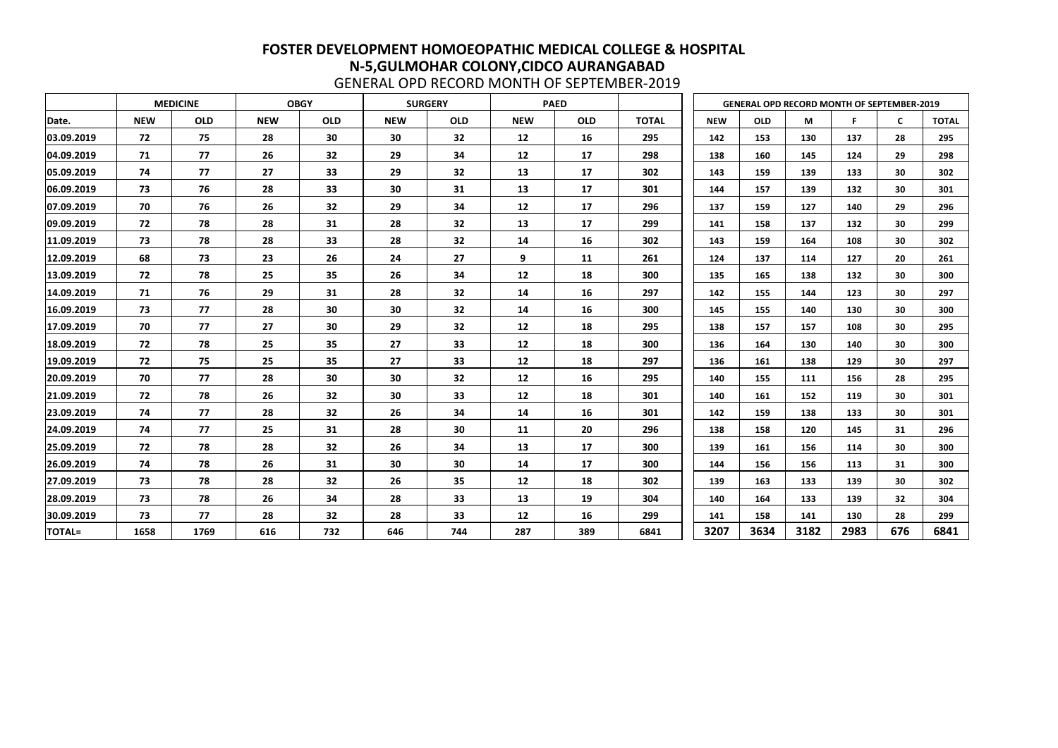|               |            | <b>MEDICINE</b> |            | <b>OBGY</b> |            | <b>SURGERY</b> |            | <b>PAED</b> |              |            | <b>GENERAL OPD RECORD MONTH OF SEPTEMBER-2019</b> |      |      |              |              |
|---------------|------------|-----------------|------------|-------------|------------|----------------|------------|-------------|--------------|------------|---------------------------------------------------|------|------|--------------|--------------|
| Date.         | <b>NEW</b> | <b>OLD</b>      | <b>NEW</b> | <b>OLD</b>  | <b>NEW</b> | <b>OLD</b>     | <b>NEW</b> | <b>OLD</b>  | <b>TOTAL</b> | <b>NEW</b> | <b>OLD</b>                                        | M    | F    | $\mathsf{C}$ | <b>TOTAL</b> |
| 03.09.2019    | 72         | 75              | 28         | 30          | 30         | 32             | 12         | 16          | 295          | 142        | 153                                               | 130  | 137  | 28           | 295          |
| 04.09.2019    | 71         | 77              | 26         | 32          | 29         | 34             | 12         | 17          | 298          | 138        | 160                                               | 145  | 124  | 29           | 298          |
| 05.09.2019    | 74         | 77              | 27         | 33          | 29         | 32             | 13         | 17          | 302          | 143        | 159                                               | 139  | 133  | 30           | 302          |
| 06.09.2019    | 73         | 76              | 28         | 33          | 30         | 31             | 13         | 17          | 301          | 144        | 157                                               | 139  | 132  | 30           | 301          |
| 07.09.2019    | 70         | 76              | 26         | 32          | 29         | 34             | 12         | 17          | 296          | 137        | 159                                               | 127  | 140  | 29           | 296          |
| 09.09.2019    | 72         | 78              | 28         | 31          | 28         | 32             | 13         | 17          | 299          | 141        | 158                                               | 137  | 132  | 30           | 299          |
| 11.09.2019    | 73         | 78              | 28         | 33          | 28         | 32             | 14         | 16          | 302          | 143        | 159                                               | 164  | 108  | 30           | 302          |
| 12.09.2019    | 68         | 73              | 23         | 26          | 24         | 27             | 9          | 11          | 261          | 124        | 137                                               | 114  | 127  | 20           | 261          |
| 13.09.2019    | 72         | 78              | 25         | 35          | 26         | 34             | 12         | 18          | 300          | 135        | 165                                               | 138  | 132  | 30           | 300          |
| 14.09.2019    | 71         | 76              | 29         | 31          | 28         | 32             | 14         | 16          | 297          | 142        | 155                                               | 144  | 123  | 30           | 297          |
| 16.09.2019    | 73         | 77              | 28         | 30          | 30         | 32             | 14         | 16          | 300          | 145        | 155                                               | 140  | 130  | 30           | 300          |
| 17.09.2019    | 70         | 77              | 27         | 30          | 29         | 32             | 12         | 18          | 295          | 138        | 157                                               | 157  | 108  | 30           | 295          |
| 18.09.2019    | 72         | 78              | 25         | 35          | 27         | 33             | 12         | 18          | 300          | 136        | 164                                               | 130  | 140  | 30           | 300          |
| 19.09.2019    | 72         | 75              | 25         | 35          | 27         | 33             | 12         | 18          | 297          | 136        | 161                                               | 138  | 129  | 30           | 297          |
| 20.09.2019    | 70         | 77              | 28         | 30          | 30         | 32             | 12         | 16          | 295          | 140        | 155                                               | 111  | 156  | 28           | 295          |
| 21.09.2019    | 72         | 78              | 26         | 32          | 30         | 33             | 12         | 18          | 301          | 140        | 161                                               | 152  | 119  | 30           | 301          |
| 23.09.2019    | 74         | 77              | 28         | 32          | 26         | 34             | 14         | 16          | 301          | 142        | 159                                               | 138  | 133  | 30           | 301          |
| 24.09.2019    | 74         | 77              | 25         | 31          | 28         | 30             | 11         | 20          | 296          | 138        | 158                                               | 120  | 145  | 31           | 296          |
| 25.09.2019    | 72         | 78              | 28         | 32          | 26         | 34             | 13         | 17          | 300          | 139        | 161                                               | 156  | 114  | 30           | 300          |
| 26.09.2019    | 74         | 78              | 26         | 31          | 30         | 30             | 14         | 17          | 300          | 144        | 156                                               | 156  | 113  | 31           | 300          |
| 27.09.2019    | 73         | 78              | 28         | 32          | 26         | 35             | 12         | 18          | 302          | 139        | 163                                               | 133  | 139  | 30           | 302          |
| 28.09.2019    | 73         | 78              | 26         | 34          | 28         | 33             | 13         | 19          | 304          | 140        | 164                                               | 133  | 139  | 32           | 304          |
| 30.09.2019    | 73         | 77              | 28         | 32          | 28         | 33             | 12         | 16          | 299          | 141        | 158                                               | 141  | 130  | 28           | 299          |
| <b>TOTAL=</b> | 1658       | 1769            | 616        | 732         | 646        | 744            | 287        | 389         | 6841         | 3207       | 3634                                              | 3182 | 2983 | 676          | 6841         |

GENERAL OPD RECORD MONTH OF SEPTEMBER-2019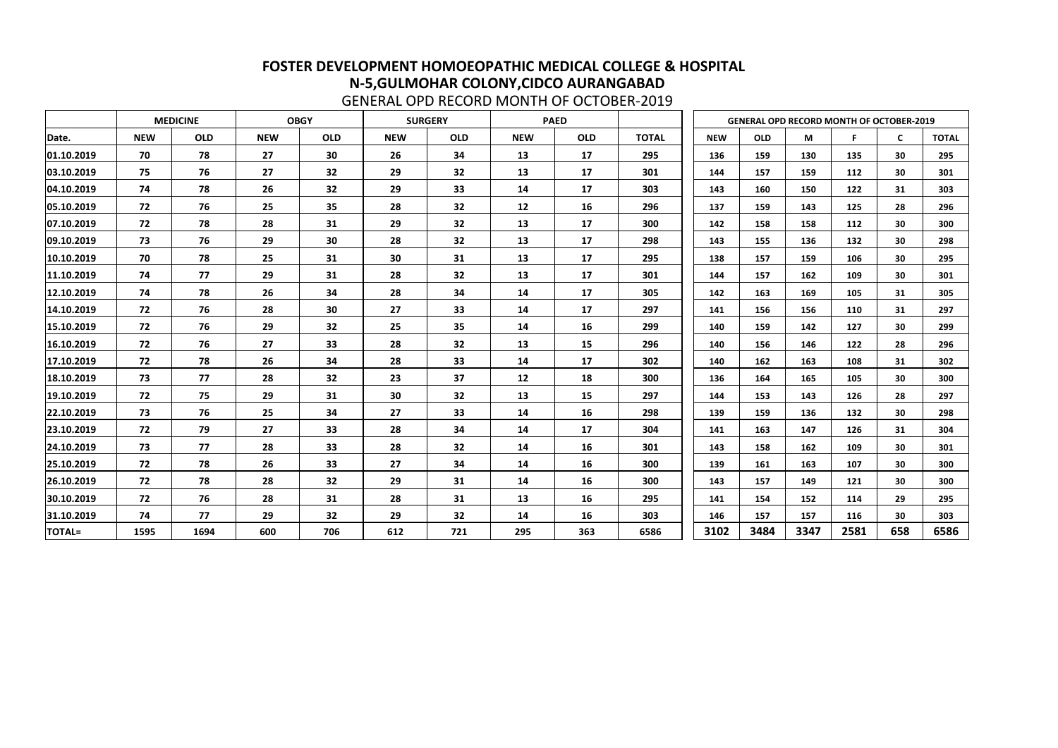|               |            | <b>MEDICINE</b> |            | <b>OBGY</b> |            | <b>SURGERY</b> |            | <b>PAED</b> |              |            |            |      | <b>GENERAL OPD RECORD MONTH OF OCTOBER-2019</b> |              |              |
|---------------|------------|-----------------|------------|-------------|------------|----------------|------------|-------------|--------------|------------|------------|------|-------------------------------------------------|--------------|--------------|
| Date.         | <b>NEW</b> | <b>OLD</b>      | <b>NEW</b> | <b>OLD</b>  | <b>NEW</b> | <b>OLD</b>     | <b>NEW</b> | <b>OLD</b>  | <b>TOTAL</b> | <b>NEW</b> | <b>OLD</b> | M    | F                                               | $\mathsf{C}$ | <b>TOTAL</b> |
| 01.10.2019    | 70         | 78              | 27         | 30          | 26         | 34             | 13         | 17          | 295          | 136        | 159        | 130  | 135                                             | 30           | 295          |
| 03.10.2019    | 75         | 76              | 27         | 32          | 29         | 32             | 13         | 17          | 301          | 144        | 157        | 159  | 112                                             | 30           | 301          |
| 04.10.2019    | 74         | 78              | 26         | 32          | 29         | 33             | 14         | 17          | 303          | 143        | 160        | 150  | 122                                             | 31           | 303          |
| 05.10.2019    | 72         | 76              | 25         | 35          | 28         | 32             | 12         | 16          | 296          | 137        | 159        | 143  | 125                                             | 28           | 296          |
| 07.10.2019    | 72         | 78              | 28         | 31          | 29         | 32             | 13         | 17          | 300          | 142        | 158        | 158  | 112                                             | 30           | 300          |
| 09.10.2019    | 73         | 76              | 29         | 30          | 28         | 32             | 13         | 17          | 298          | 143        | 155        | 136  | 132                                             | 30           | 298          |
| 10.10.2019    | 70         | 78              | 25         | 31          | 30         | 31             | 13         | 17          | 295          | 138        | 157        | 159  | 106                                             | 30           | 295          |
| 11.10.2019    | 74         | 77              | 29         | 31          | 28         | 32             | 13         | 17          | 301          | 144        | 157        | 162  | 109                                             | 30           | 301          |
| 12.10.2019    | 74         | 78              | 26         | 34          | 28         | 34             | 14         | 17          | 305          | 142        | 163        | 169  | 105                                             | 31           | 305          |
| 14.10.2019    | 72         | 76              | 28         | 30          | 27         | 33             | 14         | 17          | 297          | 141        | 156        | 156  | 110                                             | 31           | 297          |
| 15.10.2019    | 72         | 76              | 29         | 32          | 25         | 35             | 14         | 16          | 299          | 140        | 159        | 142  | 127                                             | 30           | 299          |
| 16.10.2019    | 72         | 76              | 27         | 33          | 28         | 32             | 13         | 15          | 296          | 140        | 156        | 146  | 122                                             | 28           | 296          |
| 17.10.2019    | 72         | 78              | 26         | 34          | 28         | 33             | 14         | 17          | 302          | 140        | 162        | 163  | 108                                             | 31           | 302          |
| 18.10.2019    | 73         | 77              | 28         | 32          | 23         | 37             | 12         | 18          | 300          | 136        | 164        | 165  | 105                                             | 30           | 300          |
| 19.10.2019    | 72         | 75              | 29         | 31          | 30         | 32             | 13         | 15          | 297          | 144        | 153        | 143  | 126                                             | 28           | 297          |
| 22.10.2019    | 73         | 76              | 25         | 34          | 27         | 33             | 14         | 16          | 298          | 139        | 159        | 136  | 132                                             | 30           | 298          |
| 23.10.2019    | 72         | 79              | 27         | 33          | 28         | 34             | 14         | 17          | 304          | 141        | 163        | 147  | 126                                             | 31           | 304          |
| 24.10.2019    | 73         | 77              | 28         | 33          | 28         | 32             | 14         | 16          | 301          | 143        | 158        | 162  | 109                                             | 30           | 301          |
| 25.10.2019    | 72         | 78              | 26         | 33          | 27         | 34             | 14         | 16          | 300          | 139        | 161        | 163  | 107                                             | 30           | 300          |
| 26.10.2019    | 72         | 78              | 28         | 32          | 29         | 31             | 14         | 16          | 300          | 143        | 157        | 149  | 121                                             | 30           | 300          |
| 30.10.2019    | 72         | 76              | 28         | 31          | 28         | 31             | 13         | 16          | 295          | 141        | 154        | 152  | 114                                             | 29           | 295          |
| 31.10.2019    | 74         | 77              | 29         | 32          | 29         | 32             | 14         | 16          | 303          | 146        | 157        | 157  | 116                                             | 30           | 303          |
| <b>TOTAL=</b> | 1595       | 1694            | 600        | 706         | 612        | 721            | 295        | 363         | 6586         | 3102       | 3484       | 3347 | 2581                                            | 658          | 6586         |

GENERAL OPD RECORD MONTH OF OCTOBER-2019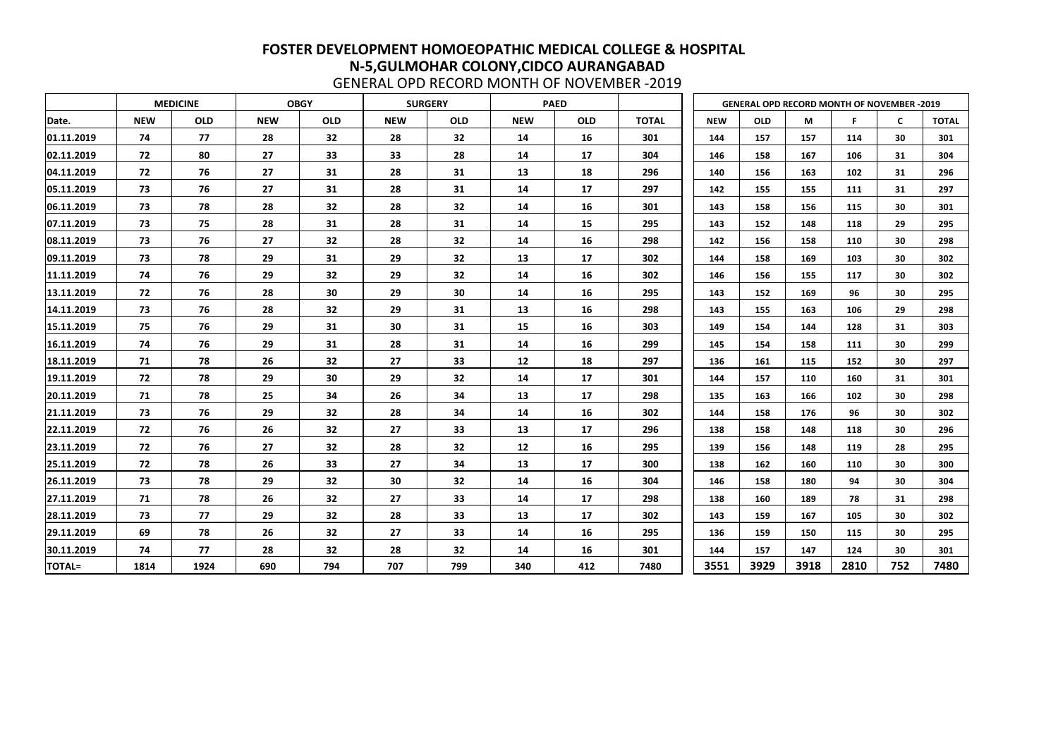|               |            | <b>MEDICINE</b> |            | <b>OBGY</b> |            | <b>SURGERY</b> |            | <b>PAED</b> |              |            | <b>GENERAL OPD RECORD MONTH OF NOVEMBER -2019</b> |      |      |     |              |
|---------------|------------|-----------------|------------|-------------|------------|----------------|------------|-------------|--------------|------------|---------------------------------------------------|------|------|-----|--------------|
| Date.         | <b>NEW</b> | <b>OLD</b>      | <b>NEW</b> | <b>OLD</b>  | <b>NEW</b> | <b>OLD</b>     | <b>NEW</b> | <b>OLD</b>  | <b>TOTAL</b> | <b>NEW</b> | <b>OLD</b>                                        | M    |      | C   | <b>TOTAL</b> |
| 01.11.2019    | 74         | 77              | 28         | 32          | 28         | 32             | 14         | 16          | 301          | 144        | 157                                               | 157  | 114  | 30  | 301          |
| 02.11.2019    | 72         | 80              | 27         | 33          | 33         | 28             | 14         | 17          | 304          | 146        | 158                                               | 167  | 106  | 31  | 304          |
| 04.11.2019    | 72         | 76              | 27         | 31          | 28         | 31             | 13         | 18          | 296          | 140        | 156                                               | 163  | 102  | 31  | 296          |
| 05.11.2019    | 73         | 76              | 27         | 31          | 28         | 31             | 14         | 17          | 297          | 142        | 155                                               | 155  | 111  | 31  | 297          |
| 06.11.2019    | 73         | 78              | 28         | 32          | 28         | 32             | 14         | 16          | 301          | 143        | 158                                               | 156  | 115  | 30  | 301          |
| 07.11.2019    | 73         | 75              | 28         | 31          | 28         | 31             | 14         | 15          | 295          | 143        | 152                                               | 148  | 118  | 29  | 295          |
| 08.11.2019    | 73         | 76              | 27         | 32          | 28         | 32             | 14         | 16          | 298          | 142        | 156                                               | 158  | 110  | 30  | 298          |
| 09.11.2019    | 73         | 78              | 29         | 31          | 29         | 32             | 13         | 17          | 302          | 144        | 158                                               | 169  | 103  | 30  | 302          |
| 11.11.2019    | 74         | 76              | 29         | 32          | 29         | 32             | 14         | 16          | 302          | 146        | 156                                               | 155  | 117  | 30  | 302          |
| 13.11.2019    | 72         | 76              | 28         | 30          | 29         | 30             | 14         | 16          | 295          | 143        | 152                                               | 169  | 96   | 30  | 295          |
| 14.11.2019    | 73         | 76              | 28         | 32          | 29         | 31             | 13         | 16          | 298          | 143        | 155                                               | 163  | 106  | 29  | 298          |
| 15.11.2019    | 75         | 76              | 29         | 31          | 30         | 31             | 15         | 16          | 303          | 149        | 154                                               | 144  | 128  | 31  | 303          |
| 16.11.2019    | 74         | 76              | 29         | 31          | 28         | 31             | 14         | 16          | 299          | 145        | 154                                               | 158  | 111  | 30  | 299          |
| 18.11.2019    | 71         | 78              | 26         | 32          | 27         | 33             | 12         | 18          | 297          | 136        | 161                                               | 115  | 152  | 30  | 297          |
| 19.11.2019    | 72         | 78              | 29         | 30          | 29         | 32             | 14         | 17          | 301          | 144        | 157                                               | 110  | 160  | 31  | 301          |
| 20.11.2019    | 71         | 78              | 25         | 34          | 26         | 34             | 13         | 17          | 298          | 135        | 163                                               | 166  | 102  | 30  | 298          |
| 21.11.2019    | 73         | 76              | 29         | 32          | 28         | 34             | 14         | 16          | 302          | 144        | 158                                               | 176  | 96   | 30  | 302          |
| 22.11.2019    | 72         | 76              | 26         | 32          | 27         | 33             | 13         | 17          | 296          | 138        | 158                                               | 148  | 118  | 30  | 296          |
| 23.11.2019    | 72         | 76              | 27         | 32          | 28         | 32             | 12         | 16          | 295          | 139        | 156                                               | 148  | 119  | 28  | 295          |
| 25.11.2019    | 72         | 78              | 26         | 33          | 27         | 34             | 13         | 17          | 300          | 138        | 162                                               | 160  | 110  | 30  | 300          |
| 26.11.2019    | 73         | 78              | 29         | 32          | 30         | 32             | 14         | 16          | 304          | 146        | 158                                               | 180  | 94   | 30  | 304          |
| 27.11.2019    | 71         | 78              | 26         | 32          | 27         | 33             | 14         | 17          | 298          | 138        | 160                                               | 189  | 78   | 31  | 298          |
| 28.11.2019    | 73         | 77              | 29         | 32          | 28         | 33             | 13         | 17          | 302          | 143        | 159                                               | 167  | 105  | 30  | 302          |
| 29.11.2019    | 69         | 78              | 26         | 32          | 27         | 33             | 14         | 16          | 295          | 136        | 159                                               | 150  | 115  | 30  | 295          |
| 30.11.2019    | 74         | 77              | 28         | 32          | 28         | 32             | 14         | 16          | 301          | 144        | 157                                               | 147  | 124  | 30  | 301          |
| <b>TOTAL=</b> | 1814       | 1924            | 690        | 794         | 707        | 799            | 340        | 412         | 7480         | 3551       | 3929                                              | 3918 | 2810 | 752 | 7480         |

GENERAL OPD RECORD MONTH OF NOVEMBER -2019